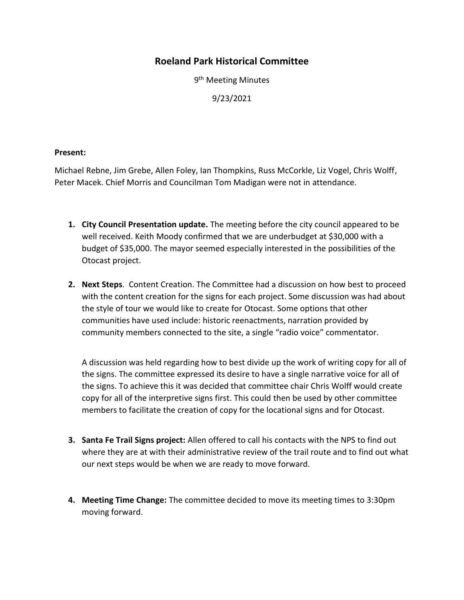## **Roeland Park Historical Committee**

9<sup>th</sup> Meeting Minutes

9/23/2021

## **Present:**

Michael Rebne, Jim Grebe, Allen Foley, Ian Thompkins, Russ McCorkle, Liz Vogel, Chris Wolff, Peter Macek. Chief Morris and Councilman Tom Madigan were not in attendance.

- **1. City Council Presentation update.** The meeting before the city council appeared to be well received. Keith Moody confirmed that we are underbudget at \$30,000 with a budget of \$35,000. The mayor seemed especially interested in the possibilities of the Otocast project.
- **2. Next Steps**. Content Creation. The Committee had a discussion on how best to proceed with the content creation for the signs for each project. Some discussion was had about the style of tour we would like to create for Otocast. Some options that other communities have used include: historic reenactments, narration provided by community members connected to the site, a single "radio voice" commentator.

A discussion was held regarding how to best divide up the work of writing copy for all of the signs. The committee expressed its desire to have a single narrative voice for all of the signs. To achieve this it was decided that committee chair Chris Wolff would create copy for all of the interpretive signs first. This could then be used by other committee members to facilitate the creation of copy for the locational signs and for Otocast.

- **3. Santa Fe Trail Signs project:** Allen offered to call his contacts with the NPS to find out where they are at with their administrative review of the trail route and to find out what our next steps would be when we are ready to move forward.
- **4. Meeting Time Change:** The committee decided to move its meeting times to 3:30pm moving forward.